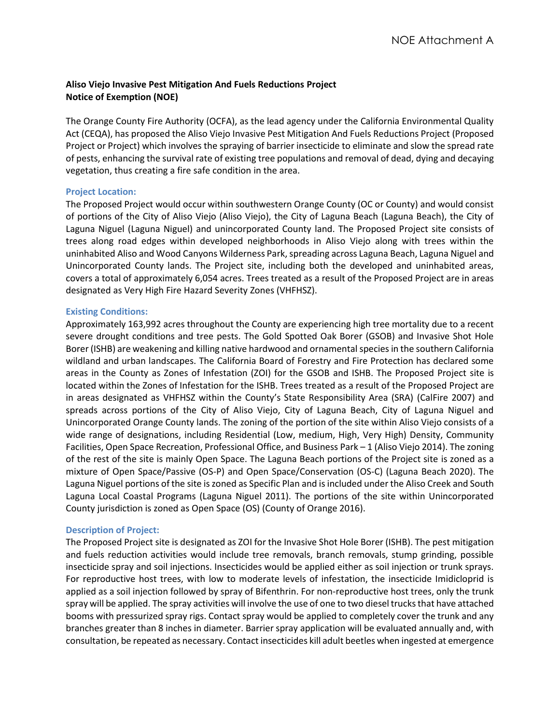# **Aliso Viejo Invasive Pest Mitigation And Fuels Reductions Project Notice of Exemption (NOE)**

The Orange County Fire Authority (OCFA), as the lead agency under the California Environmental Quality Act (CEQA), has proposed the Aliso Viejo Invasive Pest Mitigation And Fuels Reductions Project (Proposed Project or Project) which involves the spraying of barrier insecticide to eliminate and slow the spread rate of pests, enhancing the survival rate of existing tree populations and removal of dead, dying and decaying vegetation, thus creating a fire safe condition in the area.

## **Project Location:**

The Proposed Project would occur within southwestern Orange County (OC or County) and would consist of portions of the City of Aliso Viejo (Aliso Viejo), the City of Laguna Beach (Laguna Beach), the City of Laguna Niguel (Laguna Niguel) and unincorporated County land. The Proposed Project site consists of trees along road edges within developed neighborhoods in Aliso Viejo along with trees within the uninhabited Aliso and Wood Canyons Wilderness Park, spreading across Laguna Beach, Laguna Niguel and Unincorporated County lands. The Project site, including both the developed and uninhabited areas, covers a total of approximately 6,054 acres. Trees treated as a result of the Proposed Project are in areas designated as Very High Fire Hazard Severity Zones (VHFHSZ).

## **Existing Conditions:**

Approximately 163,992 acres throughout the County are experiencing high tree mortality due to a recent severe drought conditions and tree pests. The Gold Spotted Oak Borer (GSOB) and Invasive Shot Hole Borer (ISHB) are weakening and killing native hardwood and ornamental species in the southern California wildland and urban landscapes. The California Board of Forestry and Fire Protection has declared some areas in the County as Zones of Infestation (ZOI) for the GSOB and ISHB. The Proposed Project site is located within the Zones of Infestation for the ISHB. Trees treated as a result of the Proposed Project are in areas designated as VHFHSZ within the County's State Responsibility Area (SRA) (CalFire 2007) and spreads across portions of the City of Aliso Viejo, City of Laguna Beach, City of Laguna Niguel and Unincorporated Orange County lands. The zoning of the portion of the site within Aliso Viejo consists of a wide range of designations, including Residential (Low, medium, High, Very High) Density, Community Facilities, Open Space Recreation, Professional Office, and Business Park – 1 (Aliso Viejo 2014). The zoning of the rest of the site is mainly Open Space. The Laguna Beach portions of the Project site is zoned as a mixture of Open Space/Passive (OS-P) and Open Space/Conservation (OS-C) (Laguna Beach 2020). The Laguna Niguel portions of the site is zoned as Specific Plan and is included under the Aliso Creek and South Laguna Local Coastal Programs (Laguna Niguel 2011). The portions of the site within Unincorporated County jurisdiction is zoned as Open Space (OS) (County of Orange 2016).

## **Description of Project:**

The Proposed Project site is designated as ZOI for the Invasive Shot Hole Borer (ISHB). The pest mitigation and fuels reduction activities would include tree removals, branch removals, stump grinding, possible insecticide spray and soil injections. Insecticides would be applied either as soil injection or trunk sprays. For reproductive host trees, with low to moderate levels of infestation, the insecticide Imidicloprid is applied as a soil injection followed by spray of Bifenthrin. For non-reproductive host trees, only the trunk spray will be applied. The spray activities will involve the use of one to two diesel trucks that have attached booms with pressurized spray rigs. Contact spray would be applied to completely cover the trunk and any branches greater than 8 inches in diameter. Barrier spray application will be evaluated annually and, with consultation, be repeated as necessary. Contact insecticides kill adult beetles when ingested at emergence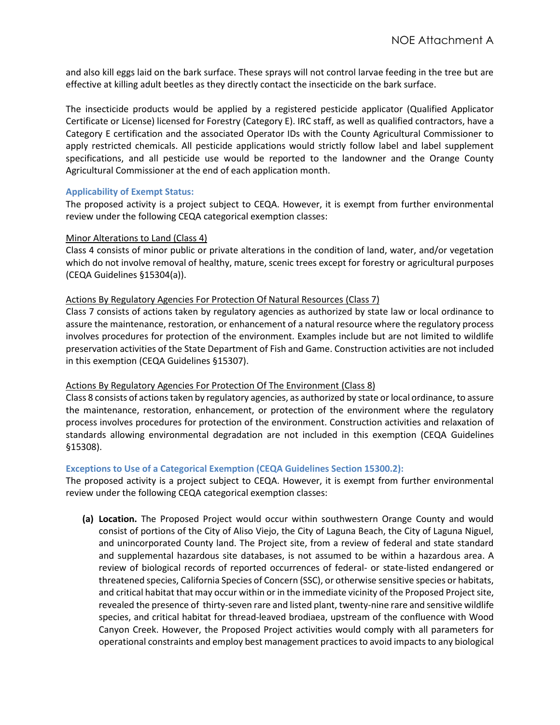and also kill eggs laid on the bark surface. These sprays will not control larvae feeding in the tree but are effective at killing adult beetles as they directly contact the insecticide on the bark surface.

The insecticide products would be applied by a registered pesticide applicator (Qualified Applicator Certificate or License) licensed for Forestry (Category E). IRC staff, as well as qualified contractors, have a Category E certification and the associated Operator IDs with the County Agricultural Commissioner to apply restricted chemicals. All pesticide applications would strictly follow label and label supplement specifications, and all pesticide use would be reported to the landowner and the Orange County Agricultural Commissioner at the end of each application month.

## **Applicability of Exempt Status:**

The proposed activity is a project subject to CEQA. However, it is exempt from further environmental review under the following CEQA categorical exemption classes:

### Minor Alterations to Land (Class 4)

Class 4 consists of minor public or private alterations in the condition of land, water, and/or vegetation which do not involve removal of healthy, mature, scenic trees except for forestry or agricultural purposes (CEQA Guidelines §15304(a)).

### Actions By Regulatory Agencies For Protection Of Natural Resources (Class 7)

Class 7 consists of actions taken by regulatory agencies as authorized by state law or local ordinance to assure the maintenance, restoration, or enhancement of a natural resource where the regulatory process involves procedures for protection of the environment. Examples include but are not limited to wildlife preservation activities of the State Department of Fish and Game. Construction activities are not included in this exemption (CEQA Guidelines §15307).

## Actions By Regulatory Agencies For Protection Of The Environment (Class 8)

Class 8 consists of actions taken by regulatory agencies, as authorized by state or local ordinance, to assure the maintenance, restoration, enhancement, or protection of the environment where the regulatory process involves procedures for protection of the environment. Construction activities and relaxation of standards allowing environmental degradation are not included in this exemption (CEQA Guidelines §15308).

## **Exceptions to Use of a Categorical Exemption (CEQA Guidelines Section 15300.2):**

The proposed activity is a project subject to CEQA. However, it is exempt from further environmental review under the following CEQA categorical exemption classes:

**(a) Location.** The Proposed Project would occur within southwestern Orange County and would consist of portions of the City of Aliso Viejo, the City of Laguna Beach, the City of Laguna Niguel, and unincorporated County land. The Project site, from a review of federal and state standard and supplemental hazardous site databases, is not assumed to be within a hazardous area. A review of biological records of reported occurrences of federal- or state-listed endangered or threatened species, California Species of Concern (SSC), or otherwise sensitive species or habitats, and critical habitat that may occur within or in the immediate vicinity of the Proposed Project site, revealed the presence of thirty-seven rare and listed plant, twenty-nine rare and sensitive wildlife species, and critical habitat for thread-leaved brodiaea, upstream of the confluence with Wood Canyon Creek. However, the Proposed Project activities would comply with all parameters for operational constraints and employ best management practices to avoid impacts to any biological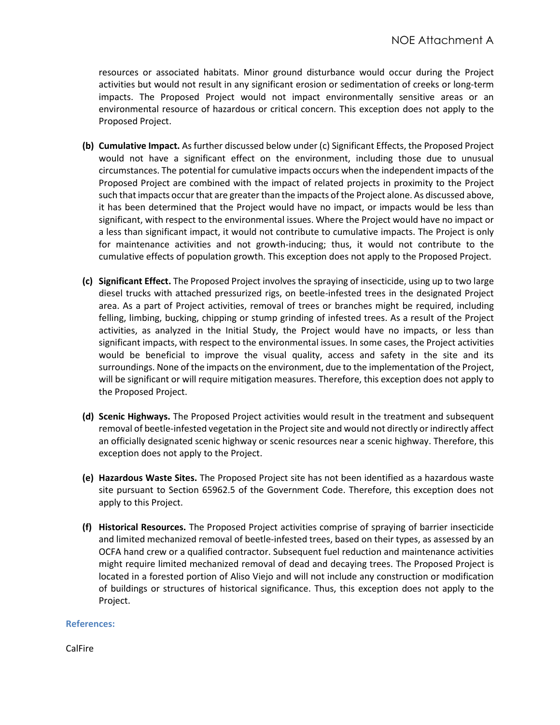resources or associated habitats. Minor ground disturbance would occur during the Project activities but would not result in any significant erosion or sedimentation of creeks or long-term impacts. The Proposed Project would not impact environmentally sensitive areas or an environmental resource of hazardous or critical concern. This exception does not apply to the Proposed Project.

- **(b) Cumulative Impact.** As further discussed below under (c) Significant Effects, the Proposed Project would not have a significant effect on the environment, including those due to unusual circumstances. The potential for cumulative impacts occurs when the independent impacts of the Proposed Project are combined with the impact of related projects in proximity to the Project such that impacts occur that are greater than the impacts of the Project alone. As discussed above, it has been determined that the Project would have no impact, or impacts would be less than significant, with respect to the environmental issues. Where the Project would have no impact or a less than significant impact, it would not contribute to cumulative impacts. The Project is only for maintenance activities and not growth-inducing; thus, it would not contribute to the cumulative effects of population growth. This exception does not apply to the Proposed Project.
- **(c) Significant Effect.** The Proposed Project involves the spraying of insecticide, using up to two large diesel trucks with attached pressurized rigs, on beetle-infested trees in the designated Project area. As a part of Project activities, removal of trees or branches might be required, including felling, limbing, bucking, chipping or stump grinding of infested trees. As a result of the Project activities, as analyzed in the Initial Study, the Project would have no impacts, or less than significant impacts, with respect to the environmental issues. In some cases, the Project activities would be beneficial to improve the visual quality, access and safety in the site and its surroundings. None of the impacts on the environment, due to the implementation of the Project, will be significant or will require mitigation measures. Therefore, this exception does not apply to the Proposed Project.
- **(d) Scenic Highways.** The Proposed Project activities would result in the treatment and subsequent removal of beetle-infested vegetation in the Project site and would not directly or indirectly affect an officially designated scenic highway or scenic resources near a scenic highway. Therefore, this exception does not apply to the Project.
- **(e) Hazardous Waste Sites.** The Proposed Project site has not been identified as a hazardous waste site pursuant to Section 65962.5 of the Government Code. Therefore, this exception does not apply to this Project.
- **(f) Historical Resources.** The Proposed Project activities comprise of spraying of barrier insecticide and limited mechanized removal of beetle-infested trees, based on their types, as assessed by an OCFA hand crew or a qualified contractor. Subsequent fuel reduction and maintenance activities might require limited mechanized removal of dead and decaying trees. The Proposed Project is located in a forested portion of Aliso Viejo and will not include any construction or modification of buildings or structures of historical significance. Thus, this exception does not apply to the Project.

#### **References:**

CalFire